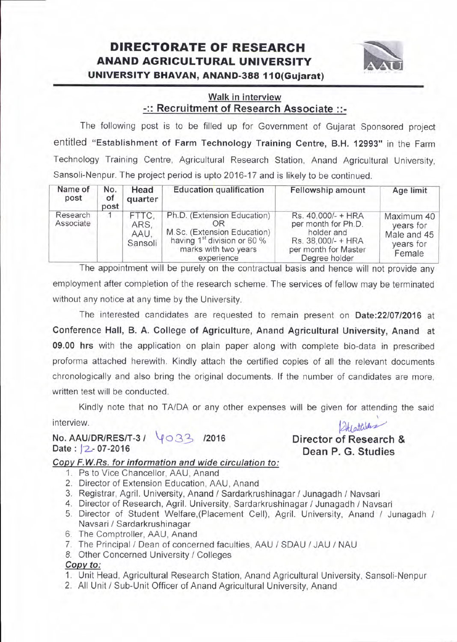## DIREGTORATE OF RESEARGH ANAND AGRIGULTURAL UNIVERSITY UNIVERSITY BHAVAN, ANAND-388 I I O(Gujarat)



### Walk in interview -:: Recruitment of Research Associate ::-

The following post is to be filled up for Government of Gujarat Sponsored project entitled "Establishment of Farm Technology Training Centre, B.H. 12993" in the Farm Technology Training Centre, Agricultural Research Station, Anand Agricultural University, Sansoli-Nenpur. The project period is upto 2016-17 and is likely to be continued.

| Name of<br>post       | No.<br>of<br>post | Head<br>quarter                  | <b>Education qualification</b>                                                                                                              | Fellowship amount                                                                                                      | Age limit                                                     |
|-----------------------|-------------------|----------------------------------|---------------------------------------------------------------------------------------------------------------------------------------------|------------------------------------------------------------------------------------------------------------------------|---------------------------------------------------------------|
| Research<br>Associate |                   | FTTC.<br>ARS.<br>AAU.<br>Sansoli | Ph.D. (Extension Education)<br>M.Sc. (Extension Education)<br>having 1 <sup>st</sup> division or 60 %<br>marks with two years<br>experience | Rs. 40,000/- + HRA<br>per month for Ph.D.<br>holder and<br>Rs. 38,000/- + HRA<br>per month for Master<br>Degree holder | Maximum 40<br>years for<br>Male and 45<br>years for<br>Female |

The appointment will be purely on the contractual basis and hence will not provide any employment after completion of the research scheme. The services of fellow may be terminated without any notice at any time by the University.

The interested candidates are requested to remain present on Date:2210712016 at Conference Hall, B. A. College of Agriculture, Anand Agricultural University, Anand at 09.00 hrs with the application on plain paper along with complete bio-data in prescribed proforma attached herewith. Kindly attach the certified copies of all the relevant documents chronologically and also bring the original documents. lf the number of candidates are more, written test will be conducted.

Kindly note that no TA/DA or any other expenses will be given for attending the said

interview.

No. AAU/DR/RES/T-3 /  $\sqrt{033}$  /2016 Date: |2-07-2016

Atlattik

Director of Research & Dean P. G. Studies

#### Copy F.W.Rs. for information and wide circulation to:

- 1. Ps to Vice Chancellor. AAU, Anand
- 2. Director of Extension Education, AAU, Anand
- 3. Registrar, Agril. University, Anand / Sardarkrushinagar / Junagadh / Navsari
- 4. Director of Research, Agril. University, Sardarkrushinagar / Junagadh / Navsari
- 5. Director of Student Welfare,(Placement Cell), Agril. University, Anand / Junagadh / Navsari / Sardarkrushinagar
- 6. The Comptroller, AAU, Anand
- 7. The Principal / Dean of concerned faculties, AAU / SDAU / JAU / NAU
- 8. Other Concerned University / Colleges

#### Copv to:

- 1. Unit Head, Agricultural Research Station, Anand Agricultural University, Sansoli-Nenpur
- 2. All Unit / Sub-Unit Officer of Anand Agricultural University, Anand